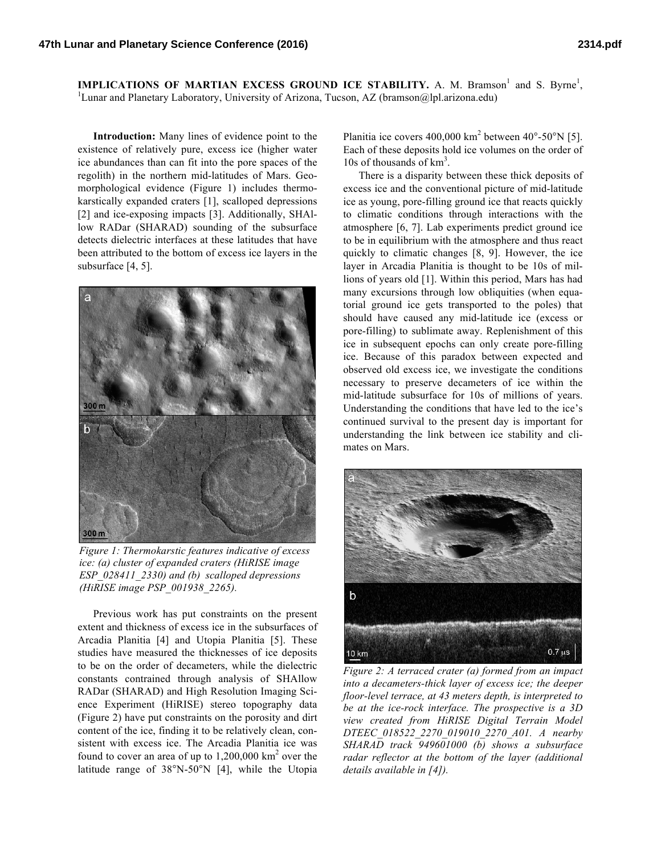**IMPLICATIONS OF MARTIAN EXCESS GROUND ICE STABILITY.** A. M. Bramson<sup>1</sup> and S. Byrne<sup>1</sup>, <sup>1</sup>Lunar and Planetary Laboratory, University of Arizona, Tucson, AZ (bramson@lpl.arizona.edu)

**Introduction:** Many lines of evidence point to the existence of relatively pure, excess ice (higher water ice abundances than can fit into the pore spaces of the regolith) in the northern mid-latitudes of Mars. Geomorphological evidence (Figure 1) includes thermokarstically expanded craters [1], scalloped depressions [2] and ice-exposing impacts [3]. Additionally, SHAllow RADar (SHARAD) sounding of the subsurface detects dielectric interfaces at these latitudes that have been attributed to the bottom of excess ice layers in the subsurface [4, 5].



*Figure 1: Thermokarstic features indicative of excess ice: (a) cluster of expanded craters (HiRISE image ESP\_028411\_2330) and (b) scalloped depressions (HiRISE image PSP\_001938\_2265).*

Previous work has put constraints on the present extent and thickness of excess ice in the subsurfaces of Arcadia Planitia [4] and Utopia Planitia [5]. These studies have measured the thicknesses of ice deposits to be on the order of decameters, while the dielectric constants contrained through analysis of SHAllow RADar (SHARAD) and High Resolution Imaging Science Experiment (HiRISE) stereo topography data (Figure 2) have put constraints on the porosity and dirt content of the ice, finding it to be relatively clean, consistent with excess ice. The Arcadia Planitia ice was found to cover an area of up to  $1,200,000 \text{ km}^2$  over the latitude range of 38°N-50°N [4], while the Utopia

Planitia ice covers 400,000 km<sup>2</sup> between 40°-50°N [5]. Each of these deposits hold ice volumes on the order of 10s of thousands of km<sup>3</sup>.

There is a disparity between these thick deposits of excess ice and the conventional picture of mid-latitude ice as young, pore-filling ground ice that reacts quickly to climatic conditions through interactions with the atmosphere [6, 7]. Lab experiments predict ground ice to be in equilibrium with the atmosphere and thus react quickly to climatic changes [8, 9]. However, the ice layer in Arcadia Planitia is thought to be 10s of millions of years old [1]. Within this period, Mars has had many excursions through low obliquities (when equatorial ground ice gets transported to the poles) that should have caused any mid-latitude ice (excess or pore-filling) to sublimate away. Replenishment of this ice in subsequent epochs can only create pore-filling ice. Because of this paradox between expected and observed old excess ice, we investigate the conditions necessary to preserve decameters of ice within the mid-latitude subsurface for 10s of millions of years. Understanding the conditions that have led to the ice's continued survival to the present day is important for understanding the link between ice stability and climates on Mars.



*Figure 2: A terraced crater (a) formed from an impact into a decameters-thick layer of excess ice; the deeper floor-level terrace, at 43 meters depth, is interpreted to be at the ice-rock interface. The prospective is a 3D view created from HiRISE Digital Terrain Model DTEEC\_018522\_2270\_019010\_2270\_A01. A nearby SHARAD track 949601000 (b) shows a subsurface radar reflector at the bottom of the layer (additional details available in [4]).*